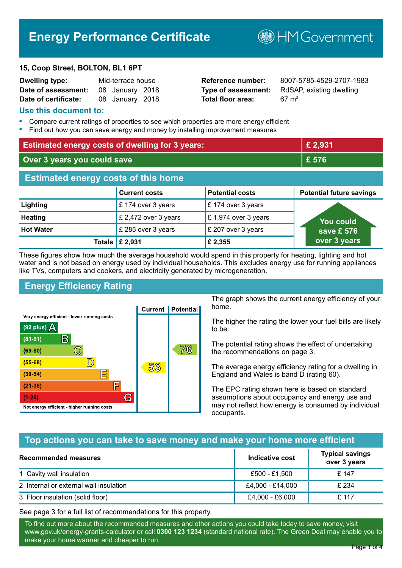# **Energy Performance Certificate**

#### **15, Coop Street, BOLTON, BL1 6PT**

| <b>Dwelling type:</b> | Mid-terrace house |                 |  |
|-----------------------|-------------------|-----------------|--|
| Date of assessment:   |                   | 08 January 2018 |  |
| Date of certificate:  |                   | 08 January 2018 |  |

# **Total floor area:** 67 m<sup>2</sup>

**Reference number:** 8007-5785-4529-2707-1983 **Type of assessment:** RdSAP, existing dwelling

**B**HM Government

#### **Use this document to:**

- **•** Compare current ratings of properties to see which properties are more energy efficient
- **•** Find out how you can save energy and money by installing improvement measures

| <b>Estimated energy costs of dwelling for 3 years:</b> |                           | £ 2,931                |                                 |
|--------------------------------------------------------|---------------------------|------------------------|---------------------------------|
| Over 3 years you could save                            |                           | £ 576                  |                                 |
| <b>Estimated energy costs of this home</b>             |                           |                        |                                 |
|                                                        | <b>Current costs</b>      | <b>Potential costs</b> | <b>Potential future savings</b> |
| Lighting                                               | £174 over 3 years         | £174 over 3 years      |                                 |
| <b>Heating</b>                                         | £ 2,472 over 3 years      | £1,974 over 3 years    | <u>You could</u>                |
| <b>Hot Water</b>                                       | £ 285 over 3 years        | £ 207 over 3 years     | save £ 576                      |
|                                                        | Totals $\mathsf{E}$ 2,931 | £ 2,355                | over 3 years                    |

These figures show how much the average household would spend in this property for heating, lighting and hot water and is not based on energy used by individual households. This excludes energy use for running appliances like TVs, computers and cookers, and electricity generated by microgeneration.

# **Energy Efficiency Rating**



The graph shows the current energy efficiency of your home.

The higher the rating the lower your fuel bills are likely to be.

The potential rating shows the effect of undertaking the recommendations on page 3.

The average energy efficiency rating for a dwelling in England and Wales is band D (rating 60).

The EPC rating shown here is based on standard assumptions about occupancy and energy use and may not reflect how energy is consumed by individual occupants.

# **Top actions you can take to save money and make your home more efficient**

| Recommended measures                   | Indicative cost  | <b>Typical savings</b><br>over 3 years |
|----------------------------------------|------------------|----------------------------------------|
| 1 Cavity wall insulation               | £500 - £1,500    | £ 147                                  |
| 2 Internal or external wall insulation | £4,000 - £14,000 | £ 234                                  |
| 3 Floor insulation (solid floor)       | £4,000 - £6,000  | £ 117                                  |

See page 3 for a full list of recommendations for this property.

To find out more about the recommended measures and other actions you could take today to save money, visit www.gov.uk/energy-grants-calculator or call **0300 123 1234** (standard national rate). The Green Deal may enable you to make your home warmer and cheaper to run.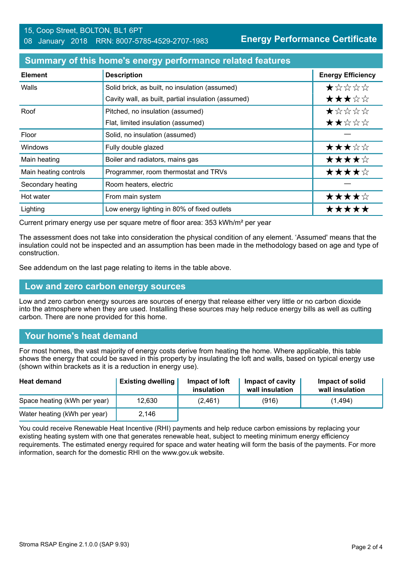**Energy Performance Certificate**

#### **Summary of this home's energy performance related features**

| <b>Element</b>        | <b>Description</b>                                  | <b>Energy Efficiency</b> |
|-----------------------|-----------------------------------------------------|--------------------------|
| Walls                 | Solid brick, as built, no insulation (assumed)      | *****                    |
|                       | Cavity wall, as built, partial insulation (assumed) | ★★★☆☆                    |
| Roof                  | Pitched, no insulation (assumed)                    | $\star$ * * * *          |
|                       | Flat, limited insulation (assumed)                  | ★★☆☆☆                    |
| Floor                 | Solid, no insulation (assumed)                      |                          |
| <b>Windows</b>        | Fully double glazed                                 | ★★★☆☆                    |
| Main heating          | Boiler and radiators, mains gas                     | ★★★★☆                    |
| Main heating controls | Programmer, room thermostat and TRVs                | ★★★★☆                    |
| Secondary heating     | Room heaters, electric                              |                          |
| Hot water             | From main system                                    | ★★★★☆                    |
| Lighting              | Low energy lighting in 80% of fixed outlets         | *****                    |

Current primary energy use per square metre of floor area: 353 kWh/m² per year

The assessment does not take into consideration the physical condition of any element. 'Assumed' means that the insulation could not be inspected and an assumption has been made in the methodology based on age and type of construction.

See addendum on the last page relating to items in the table above.

#### **Low and zero carbon energy sources**

Low and zero carbon energy sources are sources of energy that release either very little or no carbon dioxide into the atmosphere when they are used. Installing these sources may help reduce energy bills as well as cutting carbon. There are none provided for this home.

# **Your home's heat demand**

For most homes, the vast majority of energy costs derive from heating the home. Where applicable, this table shows the energy that could be saved in this property by insulating the loft and walls, based on typical energy use (shown within brackets as it is a reduction in energy use).

| <b>Heat demand</b>           | <b>Existing dwelling</b> | Impact of loft<br>insulation | Impact of cavity<br>wall insulation | Impact of solid<br>wall insulation |
|------------------------------|--------------------------|------------------------------|-------------------------------------|------------------------------------|
| Space heating (kWh per year) | 12.630                   | (2,461)                      | (916)                               | (1,494)                            |
| Water heating (kWh per year) | 2,146                    |                              |                                     |                                    |

You could receive Renewable Heat Incentive (RHI) payments and help reduce carbon emissions by replacing your existing heating system with one that generates renewable heat, subject to meeting minimum energy efficiency requirements. The estimated energy required for space and water heating will form the basis of the payments. For more information, search for the domestic RHI on the www.gov.uk website.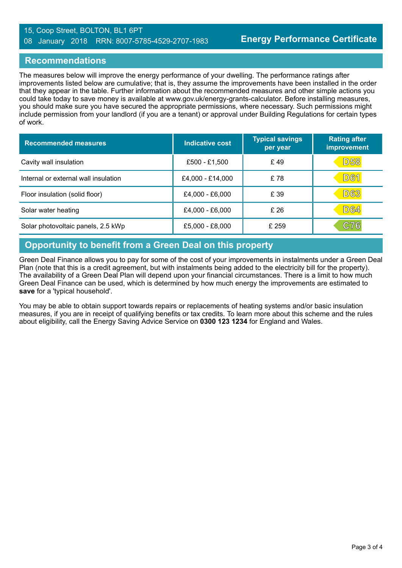#### 15, Coop Street, BOLTON, BL1 6PT 08 January 2018 RRN: 8007-5785-4529-2707-1983

#### **Recommendations**

The measures below will improve the energy performance of your dwelling. The performance ratings after improvements listed below are cumulative; that is, they assume the improvements have been installed in the order that they appear in the table. Further information about the recommended measures and other simple actions you could take today to save money is available at www.gov.uk/energy-grants-calculator. Before installing measures, you should make sure you have secured the appropriate permissions, where necessary. Such permissions might include permission from your landlord (if you are a tenant) or approval under Building Regulations for certain types of work.

| <b>Recommended measures</b>          | Indicative cost  | <b>Typical savings</b><br>per year | <b>Rating after</b><br>improvement |
|--------------------------------------|------------------|------------------------------------|------------------------------------|
| Cavity wall insulation               | £500 - £1,500    | £49                                | <b>D58</b>                         |
| Internal or external wall insulation | £4,000 - £14,000 | £78                                | <b>D61</b>                         |
| Floor insulation (solid floor)       | £4,000 - £6,000  | £ 39                               | <b>D63</b>                         |
| Solar water heating                  | £4,000 - £6,000  | £26                                | <b>D64</b>                         |
| Solar photovoltaic panels, 2.5 kWp   | £5,000 - £8,000  | £ 259                              | C76                                |

# **Opportunity to benefit from a Green Deal on this property**

Green Deal Finance allows you to pay for some of the cost of your improvements in instalments under a Green Deal Plan (note that this is a credit agreement, but with instalments being added to the electricity bill for the property). The availability of a Green Deal Plan will depend upon your financial circumstances. There is a limit to how much Green Deal Finance can be used, which is determined by how much energy the improvements are estimated to **save** for a 'typical household'.

You may be able to obtain support towards repairs or replacements of heating systems and/or basic insulation measures, if you are in receipt of qualifying benefits or tax credits. To learn more about this scheme and the rules about eligibility, call the Energy Saving Advice Service on **0300 123 1234** for England and Wales.